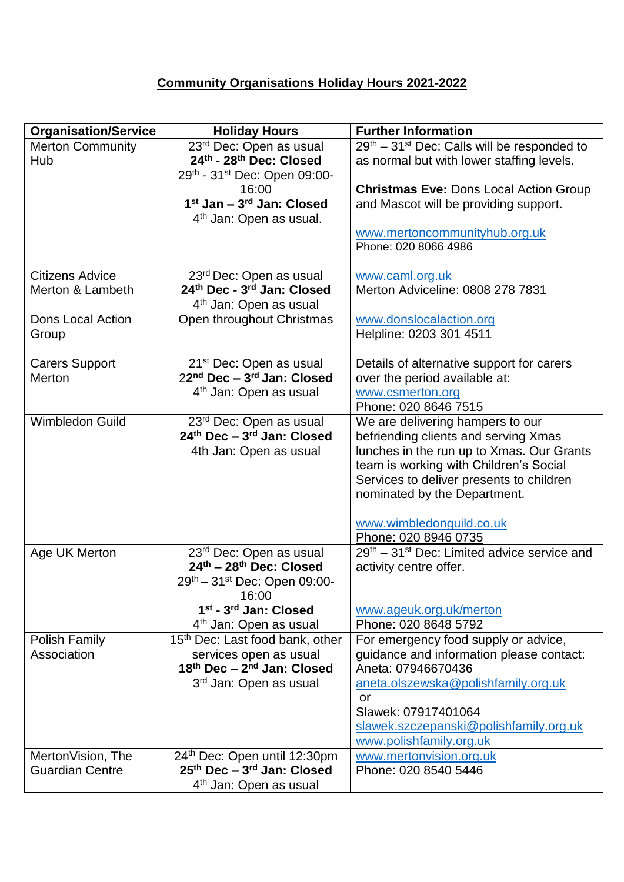## **Community Organisations Holiday Hours 2021-2022**

| <b>Organisation/Service</b>  | <b>Holiday Hours</b>                                      | <b>Further Information</b>                                               |
|------------------------------|-----------------------------------------------------------|--------------------------------------------------------------------------|
| <b>Merton Community</b>      | 23rd Dec: Open as usual                                   | $29th - 31st$ Dec: Calls will be responded to                            |
| Hub                          | 24th - 28th Dec: Closed                                   | as normal but with lower staffing levels.                                |
|                              | 29th - 31st Dec: Open 09:00-                              |                                                                          |
|                              | 16:00                                                     | <b>Christmas Eve: Dons Local Action Group</b>                            |
|                              | 1 <sup>st</sup> Jan - 3 <sup>rd</sup> Jan: Closed         | and Mascot will be providing support.                                    |
|                              | 4 <sup>th</sup> Jan: Open as usual.                       |                                                                          |
|                              |                                                           | www.mertoncommunityhub.org.uk<br>Phone: 020 8066 4986                    |
|                              |                                                           |                                                                          |
| <b>Citizens Advice</b>       | 23 <sup>rd</sup> Dec: Open as usual                       | www.caml.org.uk                                                          |
| Merton & Lambeth             | 24th Dec - 3rd Jan: Closed                                | Merton Adviceline: 0808 278 7831                                         |
|                              | 4 <sup>th</sup> Jan: Open as usual                        |                                                                          |
| <b>Dons Local Action</b>     | Open throughout Christmas                                 | www.donslocalaction.org                                                  |
| Group                        |                                                           | Helpline: 0203 301 4511                                                  |
|                              |                                                           |                                                                          |
| <b>Carers Support</b>        | 21 <sup>st</sup> Dec: Open as usual                       | Details of alternative support for carers                                |
| Merton                       | 22nd Dec - 3rd Jan: Closed                                | over the period available at:                                            |
|                              | 4 <sup>th</sup> Jan: Open as usual                        | www.csmerton.org                                                         |
| <b>Wimbledon Guild</b>       |                                                           | Phone: 020 8646 7515                                                     |
|                              | 23rd Dec: Open as usual<br>$24th$ Dec - $3rd$ Jan: Closed | We are delivering hampers to our<br>befriending clients and serving Xmas |
|                              | 4th Jan: Open as usual                                    | lunches in the run up to Xmas. Our Grants                                |
|                              |                                                           | team is working with Children's Social                                   |
|                              |                                                           | Services to deliver presents to children                                 |
|                              |                                                           | nominated by the Department.                                             |
|                              |                                                           |                                                                          |
|                              |                                                           | www.wimbledonguild.co.uk                                                 |
|                              |                                                           | Phone: 020 8946 0735                                                     |
| Age UK Merton                | 23rd Dec: Open as usual                                   | $29th - 31st$ Dec: Limited advice service and                            |
|                              | $24th - 28th$ Dec: Closed                                 | activity centre offer.                                                   |
|                              | 29th - 31st Dec: Open 09:00-                              |                                                                          |
|                              | 16:00                                                     |                                                                          |
|                              | 1st - 3rd Jan: Closed                                     | www.ageuk.org.uk/merton                                                  |
|                              | 4 <sup>th</sup> Jan: Open as usual                        | Phone: 020 8648 5792                                                     |
| Polish Family<br>Association | 15 <sup>th</sup> Dec: Last food bank, other               | For emergency food supply or advice,                                     |
|                              | services open as usual<br>$18th$ Dec $-2nd$ Jan: Closed   | guidance and information please contact:<br>Aneta: 07946670436           |
|                              | 3rd Jan: Open as usual                                    | aneta.olszewska@polishfamily.org.uk                                      |
|                              |                                                           | or                                                                       |
|                              |                                                           | Slawek: 07917401064                                                      |
|                              |                                                           | slawek.szczepanski@polishfamily.org.uk                                   |
|                              |                                                           | www.polishfamily.org.uk                                                  |
| MertonVision, The            | 24th Dec: Open until 12:30pm                              | www.mertonvision.org.uk                                                  |
| <b>Guardian Centre</b>       | $25th$ Dec – $3rd$ Jan: Closed                            | Phone: 020 8540 5446                                                     |
|                              | 4 <sup>th</sup> Jan: Open as usual                        |                                                                          |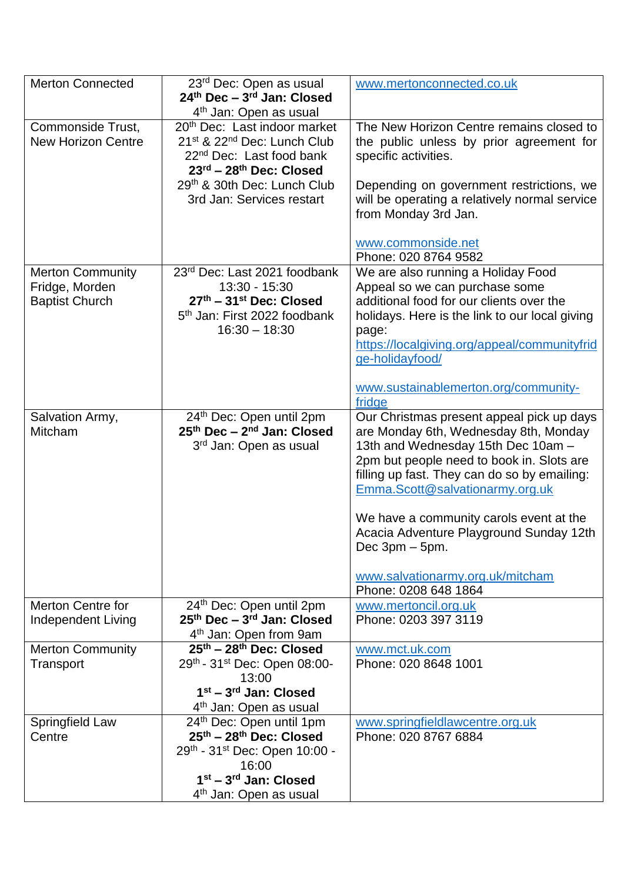| <b>Merton Connected</b>   | 23rd Dec: Open as usual                             | www.mertonconnected.co.uk                      |
|---------------------------|-----------------------------------------------------|------------------------------------------------|
|                           | 24th Dec - 3rd Jan: Closed                          |                                                |
|                           | 4 <sup>th</sup> Jan: Open as usual                  |                                                |
| Commonside Trust,         | 20 <sup>th</sup> Dec: Last indoor market            | The New Horizon Centre remains closed to       |
| <b>New Horizon Centre</b> | 21 <sup>st</sup> & 22 <sup>nd</sup> Dec: Lunch Club | the public unless by prior agreement for       |
|                           | 22 <sup>nd</sup> Dec: Last food bank                | specific activities.                           |
|                           | $23^{\text{rd}} - 28^{\text{th}}$ Dec: Closed       |                                                |
|                           | 29 <sup>th</sup> & 30th Dec: Lunch Club             | Depending on government restrictions, we       |
|                           | 3rd Jan: Services restart                           | will be operating a relatively normal service  |
|                           |                                                     | from Monday 3rd Jan.                           |
|                           |                                                     |                                                |
|                           |                                                     | www.commonside.net                             |
|                           |                                                     | Phone: 020 8764 9582                           |
| <b>Merton Community</b>   | 23rd Dec: Last 2021 foodbank                        | We are also running a Holiday Food             |
| Fridge, Morden            | 13:30 - 15:30                                       | Appeal so we can purchase some                 |
| <b>Baptist Church</b>     | 27th - 31st Dec: Closed                             | additional food for our clients over the       |
|                           | 5 <sup>th</sup> Jan: First 2022 foodbank            | holidays. Here is the link to our local giving |
|                           | $16:30 - 18:30$                                     | page:                                          |
|                           |                                                     | https://localgiving.org/appeal/communityfrid   |
|                           |                                                     | ge-holidayfood/                                |
|                           |                                                     |                                                |
|                           |                                                     | www.sustainablemerton.org/community-           |
|                           |                                                     | fridge                                         |
| Salvation Army,           | 24th Dec: Open until 2pm                            | Our Christmas present appeal pick up days      |
| Mitcham                   | 25th Dec - 2nd Jan: Closed                          | are Monday 6th, Wednesday 8th, Monday          |
|                           | 3 <sup>rd</sup> Jan: Open as usual                  | 13th and Wednesday 15th Dec 10am -             |
|                           |                                                     | 2pm but people need to book in. Slots are      |
|                           |                                                     | filling up fast. They can do so by emailing:   |
|                           |                                                     | Emma.Scott@salvationarmy.org.uk                |
|                           |                                                     | We have a community carols event at the        |
|                           |                                                     | Acacia Adventure Playground Sunday 12th        |
|                           |                                                     | Dec $3pm - 5pm$ .                              |
|                           |                                                     |                                                |
|                           |                                                     | www.salvationarmy.org.uk/mitcham               |
|                           |                                                     | Phone: 0208 648 1864                           |
| <b>Merton Centre for</b>  | 24 <sup>th</sup> Dec: Open until 2pm                | www.mertoncil.org.uk                           |
| <b>Independent Living</b> | 25 <sup>th</sup> Dec - 3 <sup>rd</sup> Jan: Closed  | Phone: 0203 397 3119                           |
|                           | 4 <sup>th</sup> Jan: Open from 9am                  |                                                |
| <b>Merton Community</b>   | $25th - 28th$ Dec: Closed                           | www.mct.uk.com                                 |
| Transport                 | 29th - 31st Dec: Open 08:00-                        | Phone: 020 8648 1001                           |
|                           | 13:00                                               |                                                |
|                           | $1st - 3rd$ Jan: Closed                             |                                                |
|                           | 4 <sup>th</sup> Jan: Open as usual                  |                                                |
| Springfield Law           | 24th Dec: Open until 1pm                            | www.springfieldlawcentre.org.uk                |
| Centre                    | 25th - 28th Dec: Closed                             | Phone: 020 8767 6884                           |
|                           | 29th - 31st Dec: Open 10:00 -                       |                                                |
|                           | 16:00                                               |                                                |
|                           | $1st - 3rd$ Jan: Closed                             |                                                |
|                           | 4 <sup>th</sup> Jan: Open as usual                  |                                                |